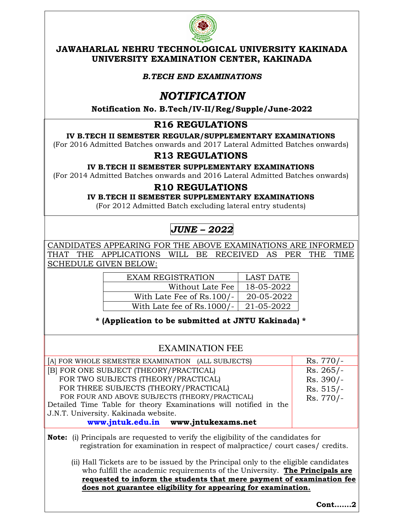

#### **JAWAHARLAL NEHRU TECHNOLOGICAL UNIVERSITY KAKINADA UNIVERSITY EXAMINATION CENTER, KAKINADA**

#### *B.TECH END EXAMINATIONS*

## *NOTIFICATION*

**Notification No. B.Tech/IV-II/Reg/Supple/June-2022** 

## **R16 REGULATIONS**

#### **IV B.TECH II SEMESTER REGULAR/SUPPLEMENTARY EXAMINATIONS**

(For 2016 Admitted Batches onwards and 2017 Lateral Admitted Batches onwards)

## **R13 REGULATIONS**

#### **IV B.TECH II SEMESTER SUPPLEMENTARY EXAMINATIONS**

(For 2014 Admitted Batches onwards and 2016 Lateral Admitted Batches onwards)

### **R10 REGULATIONS**

**IV B.TECH II SEMESTER SUPPLEMENTARY EXAMINATIONS** 

(For 2012 Admitted Batch excluding lateral entry students)

# *JUNE – 2022*

CANDIDATES APPEARING FOR THE ABOVE EXAMINATIONS ARE INFORMED THAT THE APPLICATIONS WILL BE RECEIVED AS PER THE TIME SCHEDULE GIVEN BELOW:

| <b>EXAM REGISTRATION</b>     | LAST DATE  |
|------------------------------|------------|
| Without Late Fee             | 18-05-2022 |
| With Late Fee of Rs.100/-    | 20-05-2022 |
| With Late fee of $Rs.1000/-$ | 21-05-2022 |

**\* (Application to be submitted at JNTU Kakinada) \*** 

## EXAMINATION FEE

| [A] FOR WHOLE SEMESTER EXAMINATION (ALL SUBJECTS)                                         | $Rs.770/-$  |  |
|-------------------------------------------------------------------------------------------|-------------|--|
| [B] FOR ONE SUBJECT (THEORY/PRACTICAL)                                                    | $Rs. 265/-$ |  |
| FOR TWO SUBJECTS (THEORY/PRACTICAL)                                                       | $Rs. 390/-$ |  |
| FOR THREE SUBJECTS (THEORY/PRACTICAL)                                                     | $Rs. 515/-$ |  |
| FOR FOUR AND ABOVE SUBJECTS (THEORY/PRACTICAL)                                            | Rs. 770/-   |  |
| Detailed Time Table for theory Examinations will notified in the                          |             |  |
| J.N.T. University. Kakinada website.                                                      |             |  |
| www.jntuk.edu.in www.jntukexams.net                                                       |             |  |
| <b>Note:</b> (i) Principals are requested to verify the eligibility of the candidates for |             |  |

registration for examination in respect of malpractice/ court cases/ credits.

(ii) Hall Tickets are to be issued by the Principal only to the eligible candidates who fulfill the academic requirements of the University. **The Principals are requested to inform the students that mere payment of examination fee does not guarantee eligibility for appearing for examination.** 

**Cont…….2**